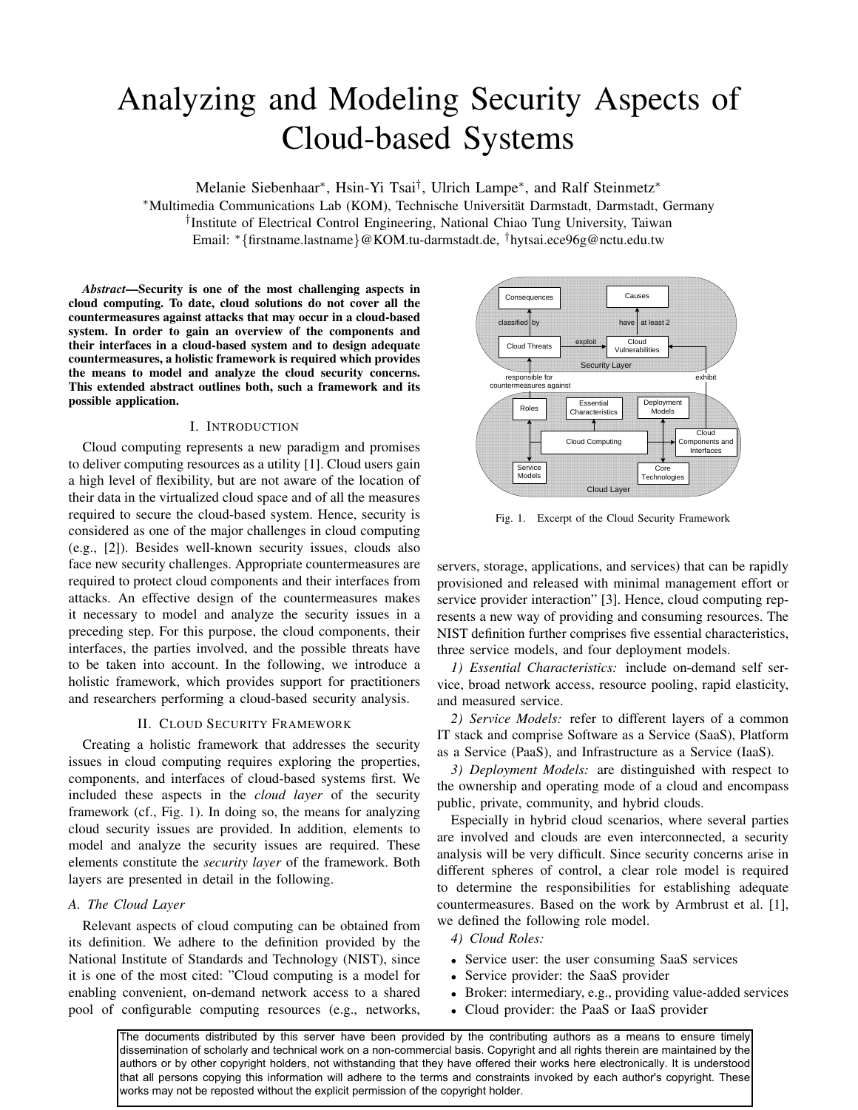# Analyzing and Modeling Security Aspects of Cloud-based Systems

Melanie Siebenhaar<sup>∗</sup>, Hsin-Yi Tsai<sup>†</sup>, Ulrich Lampe<sup>∗</sup>, and Ralf Steinmetz<sup>\*</sup> <sup>∗</sup>Multimedia Communications Lab (KOM), Technische Universitat Darmstadt, Darmstadt, Germany ¨ † Institute of Electrical Control Engineering, National Chiao Tung University, Taiwan Email: <sup>∗</sup>{firstname.lastname}@KOM.tu-darmstadt.de, †hytsai.ece96g@nctu.edu.tw

*Abstract*—Security is one of the most challenging aspects in cloud computing. To date, cloud solutions do not cover all the countermeasures against attacks that may occur in a cloud-based system. In order to gain an overview of the components and their interfaces in a cloud-based system and to design adequate countermeasures, a holistic framework is required which provides the means to model and analyze the cloud security concerns. This extended abstract outlines both, such a framework and its possible application.

## I. INTRODUCTION

Cloud computing represents a new paradigm and promises to deliver computing resources as a utility [1]. Cloud users gain a high level of flexibility, but are not aware of the location of their data in the virtualized cloud space and of all the measures required to secure the cloud-based system. Hence, security is considered as one of the major challenges in cloud computing (e.g., [2]). Besides well-known security issues, clouds also face new security challenges. Appropriate countermeasures are required to protect cloud components and their interfaces from attacks. An effective design of the countermeasures makes it necessary to model and analyze the security issues in a preceding step. For this purpose, the cloud components, their interfaces, the parties involved, and the possible threats have to be taken into account. In the following, we introduce a holistic framework, which provides support for practitioners and researchers performing a cloud-based security analysis.

#### II. CLOUD SECURITY FRAMEWORK

Creating a holistic framework that addresses the security issues in cloud computing requires exploring the properties, components, and interfaces of cloud-based systems first. We included these aspects in the *cloud layer* of the security framework (cf., Fig. 1). In doing so, the means for analyzing cloud security issues are provided. In addition, elements to model and analyze the security issues are required. These elements constitute the *security layer* of the framework. Both layers are presented in detail in the following.

### *A. The Cloud Layer*

Relevant aspects of cloud computing can be obtained from its definition. We adhere to the definition provided by the National Institute of Standards and Technology (NIST), since it is one of the most cited: "Cloud computing is a model for enabling convenient, on-demand network access to a shared pool of configurable computing resources (e.g., networks,



Fig. 1. Excerpt of the Cloud Security Framework

servers, storage, applications, and services) that can be rapidly provisioned and released with minimal management effort or service provider interaction" [3]. Hence, cloud computing represents a new way of providing and consuming resources. The NIST definition further comprises five essential characteristics, three service models, and four deployment models.

*1) Essential Characteristics:* include on-demand self service, broad network access, resource pooling, rapid elasticity, and measured service.

*2) Service Models:* refer to different layers of a common IT stack and comprise Software as a Service (SaaS), Platform as a Service (PaaS), and Infrastructure as a Service (IaaS).

*3) Deployment Models:* are distinguished with respect to the ownership and operating mode of a cloud and encompass public, private, community, and hybrid clouds.

Especially in hybrid cloud scenarios, where several parties are involved and clouds are even interconnected, a security analysis will be very difficult. Since security concerns arise in different spheres of control, a clear role model is required to determine the responsibilities for establishing adequate countermeasures. Based on the work by Armbrust et al. [1], we defined the following role model.

*4) Cloud Roles:*

- Service user: the user consuming SaaS services
- Service provider: the SaaS provider
- Broker: intermediary, e.g., providing value-added services
- Cloud provider: the PaaS or IaaS provider

The documents distributed by this server have been provided by the contributing authors as a means to ensure timely dissemination of scholarly and technical work on a non-commercial basis. Copyright and all rights therein are maintained by the authors or by other copyright holders, not withstanding that they have offered their works here electronically. It is understood that all persons copying this information will adhere to the terms and constraints invoked by each author's copyright. These works may not be reposted without the explicit permission of the copyright holder.